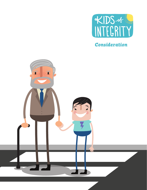

*Consideration*

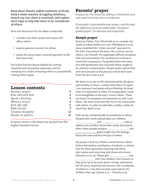*Read about David's selfish treatment of Uriah, build a chain reaction of toppling dominoes, launch toy cars down a racetrack, and explore more ways to help kids learn to be considerate of others.*

Dive into this lesson for fun ideas to help kids:

- consider how their words and actions will affect others
- express genuine concern for others
- adopt the same others-centred approach to life that Jesus had.

You'll also find this lesson helpful for curbing impulsive and insensitive responses, and for stamping out a habit of teasing others or purposefully making others upset.

# Lesson contents

| Parents' prayer      | 2  |
|----------------------|----|
| Kids talk with God   | 3  |
| Speak a blessing     | 4  |
| Memory verses        | 4  |
| Kick-off craft       | 5  |
| <b>Bible stories</b> | 7  |
| Creative discipline  | 11 |
| Hands-on options     | 11 |
|                      |    |

Scripture verses in this lesson are quoted from the English Standard Version.

# Parents' prayer

*Prepare for this lesson by talking to God about your own need to become more considerate.*

*If you prefer to personalize your prayer, read through the additional verses provided under "Scriptureguided prayer" for direction and inspiration.*

## *Sample prayer*

Gracious Father, Your Word tells us to consider the needs of others before our own (Philippians 2:3-4). Jesus modelled this "other-centred" approach to life fully. Everywhere He went, His concern was for others, not Himself. He negotiated difficult situations with tact and wisdom, He reached out to those in need with compassion, He guided those who were lost with gentleness and corrected those caught in sin without condemnation. People spoke well of Him and were amazed at the gracious words that came from His lips (Luke 4:22).

My desire is to see my life characterized by the grace and humility of Jesus. I confess that when I'm upset I can overreact and speak without thinking. At times when I'm exhausted or when I'm exasperated, I tend to be thoughtless in the way I correct others. There are times I'm impatient and insensitive as well. Lord Jesus, I do want to be more like You in my interactions with others. In order to make this a reality, I really do need Your Spirit in me.

Kids can be unintentionally inconsiderate of others. Despite their youth, please bless our children, and , with an ability to be mindful of how their words and actions affect other people and give and and godly insight into the feelings, hurts and cares and also the joys of others.

My prayer is that my children would honour others before themselves and display a brotherly or sisterly love for them, genuinely rejoicing with those who rejoice and mourning with those who mourn (Romans 12:10,15). Please gift and with Your wisdom from heaven so they grow up to be pure, peace-loving, submissive, full of mercy, impartial and sincere, and considerate of others in a way that exceeds expectations for children their age (James 3:17, 1 Timothy 4:12).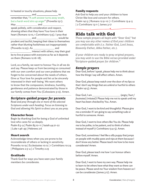In heated or touchy situations, please help  $\frac{1}{2}$  and  $\frac{1}{2}$  to remember that, "A soft answer turns away wrath, but a harsh word stirs up anger" (Proverbs 15:1). May and and and and the manufactured  $\mathbb{R}$  and  $\mathbb{R}$  and  $\mathbb{R}$  and  $\mathbb{R}$  and  $\mathbb{R}$  and  $\mathbb{R}$  and  $\mathbb{R}$  and  $\mathbb{R}$  and  $\mathbb{R}$  and  $\mathbb{R}$  and  $\mathbb{R}$  and  $\mathbb{R}$  and  $\mathbb{R}$  and  $\mathbb{R}$  and  $\math$ speak politely, with consideration and respect, showing others that they have Your love in their heart (Romans 12:10, 1 Corinthians 13:5). I pray that and would be a series would be prudent and tactful, keeping their ideas to themselves rather than blurting foolishness out inappropriately  $($  Proverbs 12:23). As  $\qquad \qquad$  and **interact with others, may their goal** be to live at peace with everyone as far as it depends on them (Romans 12:16-18).

Lord, as a family, we want to honour You in all we do and say. Please keep us from becoming so consumed with our own comfort and our own problems that we forget to be concerned about the needs of others. Give us Your love for people and let us be sincerely interested in their well-being. We want others to know that the compassion, kindness, humility, gentleness and patience demonstrated by those in our family comes from You (Colossians 3:12). Amen.

## *Scripture-guided prayer for parents*

*Read and pray through one or more of the selected Scriptures under each heading. Focus on listening to God and allowing His Spirit to direct you as you pray.* 

## Character focus

Begin by thanking God for being a God of unlimited love who cares for us deeply. Psalm 8:3-9 | Psalm 85:10-11 | Isaiah 44:21-22 | Luke 1:46-49 | Hebrews 2:6

## Heart search

Acknowledge times when you are prone to be inconsiderate of others or lacking in sensitivity. Proverbs 10:19 | Ecclesiastes 10:12 | 1 Corinthians 10:24 | Philippians 2:3-4 | 2 Timothy 2:23

## Gratitude

Thank God for ways you have seen your family members be considerate.

## Family requests

Ask God to help you and your children to have Christ-like love and concern for others. Psalm 141:3 | Romans 12:9-10 | 1 Corinthians 13:4-5 | 2 Corinthians 13:11 | James 3:17

# Kids talk with God

*These sample prayers all begin with "Dear God," but you may use any other names of God your children are comfortable with (i.e. Father God, Lord Jesus, Heavenly Father, Abba Father, etc.).*

*If your children are ready to pray original prayers, you may wish to use the Bible verses provided under "Scripture-guided prayer for children."*

## *Sample prayers*

Dear God, before I speak, please help me to think about how the things I say will affect others. Amen.

Dear God, please keep watch over the door of my lips so that I don't say things that are unkind or hurtful to others (Psalm 141:3). Amen.

Dear God, I am (*angry / hurt / frustrated / irritated*)! Please help me not to speak until my heart has been checked by You. Amen.

Dear God, I want to be kind and thoughtful. Please give me a reminder if I am going to say something rude or hurtful to someone. Amen.

Dear God, I want to love others like You do. Please help me to be polite, to be patient, and to think of others instead of myself (1 Corinthians 13:4-5). Amen.

Dear God, sometimes I feel like a silly puppy that jumps on people with muddy paws and nips at them because I don't know any better. Please teach me how to be more considerate! Amen.

Dear God, please teach me how I can honour others before myself. Amen.

Dear God, I want to have my own way. Please help me to learn to let others have what they want so there can be peace. Please send me Your wisdom from heaven so I can be considerate (James 3:17). Amen.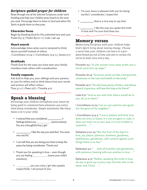## *Scripture-guided prayer for children*

*Read through one of the selected Scriptures under each heading and help your children pray based on the verse you read. Encourage them to listen to God and allow His Spirit to guide them as they pray.*

## Character focus

Begin by thanking God for His unlimited love and care. Psalm 8:3-9 | Psalm 85:10-11 | Luke 1:46-49

## Heart search

Acknowledge times when you're tempted to think about yourself instead of others. 1 Corinthians 10:24 | 1 Corinthians 13:4-5 | James 3:17

## Gratitude

Thank God for the ways you have seen your family members treat others with consideration.

## Family requests

Ask God to help you, your siblings and your parents to care for others and to think about how your words and actions will affect others.

Titus 3:1-2 | 1 Peter 3:8 | 1 Timothy 4:12

# Speak a blessing

*Encourage your children throughout your lesson by being quick to commend them whenever you notice them being considerate. Simple statements like these mean a lot to your child.*

- I noticed that you considered \_\_\_\_\_\_\_\_\_\_\_ 's feelings before you (*name actions*). You are a thoughtful boy / girl.
- **1** like the way you said that. You were very tactful.
- I can tell that you are doing your best to keep the peace by being considerate. Thank you!
- Thank you for speaking in love even though you are feeling (*name your child's emotions*).
- erricous, you are a boy / girl who speaks respectfully. I am proud of you.
- I'm sure Jesus is pleased with you for being tactful / considerate / respectful.
- 1. that is a nice way to say that.
- \_\_\_\_\_\_\_\_\_\_\_, I like the way you spoke the truth in love and I'm sure God does too.

## Memory verses

*Memorizing Scripture with your children helps God's Spirit bring about lasting change. Choose a verse that your children can learn in a predetermined period of time and aim to review the verse at least once every day.*

Proverbs 15:1 "A soft answer turns away wrath, but a harsh word stirs up anger."

Proverbs 16:24 "Gracious words are like a honeycomb, sweetness to the soul and health to the body."

Proverbs 22:11 "He who loves purity of heart, and whose speech is gracious, will have the king as his friend."

Luke 6:31 "And as you wish that others would do to you, do so to them."

1 Corinthians 10:24 "Let no one seek his own good, but the good of his neighbor."

1 Corinthians 13:4-5 "Love is patient and kind; love does not envy or boast; it is not arrogant or rude. It does not insist on its own way; it is not irritable or resentful . . ."

Galatians 5:22-23 "But the fruit of the Spirit is love, joy, peace, patience, kindness, goodness, faithfulness, gentleness, self-control; against such things there is no law."

Ephesians 4:2 "... with all humility and gentleness, with patience, bearing with one another in love . . ."

Ephesians 4:15 "Rather, speaking the truth in love, we are to grow up in every way into him who is the head, into Christ . . ."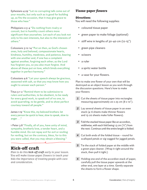Ephesians 4:29 "Let no corrupting talk come out of your mouths, but only such as is good for building up, as fits the occasion, that it may give grace to those who hear."

Philippians 2:3-4 "Do nothing from rivalry or conceit, but in humility count others more significant than yourselves. Let each of you look not only to his own interests, but also to the interests of others."

Colossians 3:12-14 "Put on then, as God's chosen ones, holy and beloved, compassionate hearts, kindness, humility, meekness, and patience, bearing with one another and, if one has a complaint against another, forgiving each other; as the Lord has forgiven you, so you also must forgive. And above all these put on love, which binds everything together in perfect harmony."

Colossians 4:6 "Let your speech always be gracious, seasoned with salt, so that you may know how you ought to answer each person."

Titus 3:1-2 "Remind them to be submissive to rulers and authorities, to be obedient, to be ready for every good work, to speak evil of no one, to avoid quarreling, to be gentle, and to show perfect courtesy toward all people."

James 1:19 "Know this, my beloved brothers: let every person be quick to hear, slow to speak, slow to anger . . ."

1 Peter 3:8 "Finally, all of you, have unity of mind, sympathy, brotherly love, a tender heart, and a humble mind. Do not repay evil for evil or reviling for reviling, but on the contrary, bless, for to this you were called, that you may obtain a blessing."

# Kick-off craft

*Plan to do this kick-off craft early in your lesson. You will make tissue-paper flowers to teach your kids the importance of treating people with care and consideration.* 

## *Tissue-paper flowers*

## **Directions**

You will need the following supplies:

- coloured tissue paper
- green paper to make foliage (optional)
- stiff wire in lengths of 30-40 cm (12-15")
- green pipe cleaners
- scissors
- a ruler
- a spritz water bottle
- a vase for your flowers.

Plan to make one flower of your own that will be destroyed as an object lesson as you work through the discussion questions. Here's how to make your flowers:

- **1** Cut the sheets of tissue paper into rectangles measuring approximately 20 x 25 cm (8 x 10").
- *2* Lay several sheets of tissue paper in an even stack (4-6 sheets make thinner flowers and 15-20 sheets make fuller flowers).
- *3* Fold the stacked tissue paper like an accordion, widthwise, with each fold being 1.5 cm  $(\frac{1}{2})'$  from the next. Continue until the entire length is folded.
- *4* Cut both ends of the folded tissue round for scalloped petals or zig-zagged for jagged petals.
- **5** Tie the stack of folded paper at the middle with a green pipe cleaner. (Wrap it right around the stack, then pull it tight.)
- *6* Holding one end of the accordion stack of paper, carefully pull the tissue paper upwards at the other end, one layer at a time. Gently separate the sheets to form a flower shape.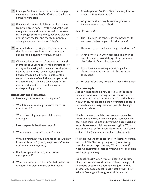- *7* Once you've formed your flower, wind the pipe cleaner on to a length of stiff wire that will serve as the flower's stem.
- *8* If you would like to add foliage, cut leaf shapes from your green paper. Lay the end of the leaf along the stem and secure the leaf to the stem by twisting a short length of green pipe cleaner around both the leaf and the stem. Continue adding leaves until each stem is leafy.
- **9** As your kids are working on their flowers, use the discussion questions to talk about how people's feelings, like flowers, are fragile.
- **10** Choose a Scripture verse from this lesson and memorize it as a reminder of the importance of acting and speaking with care and consideration. Add the verse to the vase of tissue-paper flowers by adding a different phrase of the verse to the stem of each flower. As you work on memorizing it, hold up the flowers in the correct order and have your kids say the corresponding phrase.

#### Questions for discussion

- *1.* How easy is it to tear the tissue paper?
- *2.* Which tears more easily: paper tissue or real flower petals?
- *3.* What other things can you think of that are fragile?
- *4.* How are people like flower petals?
- *5.* What do people do to "tear into" others?
- *6.* What do you think would happen if I sprayed my flower with water? (*Spray your flower with water and observe what happens*.)
- *7.* If a flower gets all droopy, what do we say happened?
- *8.* When we say a person looks "wilted", what kind of expression would we see on their face?
- *9.* Could a person "wilt" or "tear" in a way that we don't see from the outside?
- *10.* Why do you think people are thoughtless or inconsiderate of each other?

#### Read Proverbs 18:21.

- *11.* The Bible says the tongue has the power of life and death. What do you think this means?
- *12.* Has anyone ever said something unkind to you?
- *13.* What do we call it when someone tells friends and classmates unkind things about someone else? (Gossip / spreading rumours)
- *14.* If you hear someone say something unkind about another person, what is the best way to respond?
- *15.* What is the best way to care for a friend who is sad?

#### Key concepts

Just as we needed to be very careful with the tissue paper when we were making the flowers, we need to be very careful not to hurt other people by the things we say or do. People can be like flower petals because our hearts are also very delicate – people's feelings can easily be hurt.

Simple comments, facial expressions and even the tone of voice we use when talking with someone can easily hurt their feelings and give them a sad heart. For example, someone might say something like, "That was a silly idea," or "Your pants look funny," and could end up making another person feel embarrassed.

The Bible says we can speak "life" or "death" to others. We speak "life" by saying things in a gentle, loving, considerate and respectful way. We also speak life when we encourage others or when we offer correction in an appropriate way.

We speak "death" when we say things in an abrupt, blunt, inconsiderate or disrespectful way. Being quick to criticize or correcting abruptly or aggressively is another way people speak "death" rather than "life." When a flower gets droopy, we say it is dead or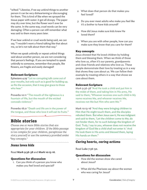"wilted." Likewise, if we say unkind things to another person it can be very disheartening or discouraging for them. This is kind of like when we sprayed the tissue paper with water: it got all droopy. The paper may dry over time, but the flower won't ever be the same. In the same way, cruel words can be very damaging. Often a person can still remember what was said to them many years later.

If we hear unkind or cruel words being said, we can say, "I wouldn't want a friend talking like that about me, so let's not talk about them that way."

When we speak unkindly or repeat unkind things said about another person, we are not considering that person's feelings. If you are tempted to speak unkindly to someone, remember that people, like flowers, are fragile and easily damaged!

## Relevant Scripture

Ephesians 4:29 "Let no corrupting talk come out of your mouths, but only such as is good for building up, as fits the occasion, that it may give grace to those who hear."

Proverbs 10:11 "The mouth of the righteous is a fountain of life, but the mouth of the wicked conceals violence."

Proverbs 18:21 "Death and life are in the power of the tongue, and those who love it will eat its fruits."

# Bible stories

*Choose one or more Bible stories that are appropriate for your children. If the Bible passage is too complex for your children, paraphrase the story yourself or use the summary provided under "key concepts."*

## *Jesus loves kids*

Read **Mark 9:36-38** and **Mark 10:13-16**.

## Questions for discussion

*1.* Can you think of a person you know who makes you feel loved and special?

- *2.* What does that person do that makes you feel loved?
- *3.* Do you ever meet adults who make you feel like it's a bother to have kids around?
- *4.* How did Jesus make sure kids knew He loved them?
- *5.* When you are with other people, how can you make sure they know that you care for them?

## Key concepts

Jesus showed that He loved children by holding them and blessing them. When we think of those who love us, often it's our parents, grandparents and close friends and relatives who love us. These people demonstrate their love by treating us in a way that shows they care about us. We can follow their example by treating others in a way that shows we care about them.

## Relevant Scripture

Mark 9:36-38 "And He took a child and put him in the midst of them, and taking him in His arms, He said to them, 'Whoever receives one such child in My name receives Me, and whoever receives Me, receives not Me but Him who sent Me.'"

Mark 10:13-16 "And they were bringing children to Him that He might touch them, and the disciples rebuked them. But when Jesus saw it, He was indignant and said to them, 'Let the children come to Me; do not hinder them, for to such belongs the kingdom of God. Truly, I say to you, whoever does not receive the kingdom of God like a child shall not enter it.' And He took them in His arms and blessed them, laying His hands on them."

## *Caring hearts, caring actions*

Read Luke 7:36-50.

## Questions for discussion

- *1.* How did the woman show she cared about Jesus?
- *2.* What did the Pharisees say about the woman who was caring for Jesus?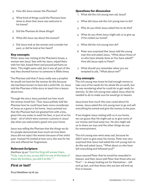- *3.* How did Jesus answer the Pharisee?
- *4.* What kind of things could the Pharisee have done to show that Jesus was welcome in his home?
- *5.* Did the Pharisee do these things?
- *6.* What did Jesus say about the woman?
- *7.* Did Jesus look at the woman and consider her past, or did he look at her heart?

#### Key concepts

When Jesus was visiting at the Pharisee's house, a woman wet Jesus' feet with her tears, wiped them with her hair, kissed them and poured perfume on them. This might seem odd, but it was all part of the way they showed honour to someone in Bible times.

The Pharisee said that if Jesus really was a prophet he would not have let the woman do this because she had been known to have led a sinful life. So Jesus told the Pharisee a little story to teach him a lesson about love.

Through the story Jesus pointed out how much the woman loved him. Then Jesus politely told the Pharisee how he could have been more considerate of Jesus as a guest in his home. Jesus pointed out that the Pharisee had not greeted him with a kiss, given him any water to wash his feet, or put oil on his head – all of which were common customs in Jesus' day when you welcomed a guest into your home.

Jesus was telling the Pharisee that the things we do for people demonstrate how much we love them. Jesus did not reject the woman because of her sinful past. Instead He looked at how sorry she was for her sins and offered her forgiveness.

#### Relevant Scripture

Matthew 25:40 "And the King will answer them, 'Truly, I say to you, as you did it to one of the least of these My brothers, you did it to Me.' "

## *First or last?*

Read Matthew 19:16-30.

#### Questions for discussion

- *1.* What did the rich young man ask Jesus?
- *2.* What did Jesus ask the rich young man to do?
- *3.* Why do you think Jesus asked him to do this?
- *4.* What do you think Jesus might ask us to give up if He visited our home?
- *5.* What did the rich young man do?
- *6.* Peter was surprised that Jesus told the young man this and asked Jesus, "What about those of us who have already done as You have asked?" How did Jesus reply to Peter?
- *7.* What should you remember when you are tempted to ask, "What about me?"

#### Key concepts

The rich young man knew he had enough money to take care of his needs for his whole life on earth, but he was wondering what he could do to get ready for eternity. So the rich young man asked Jesus what he needed to do to make sure he would go to heaven.

Jesus knew how much this man cared about his money. Jesus asked the rich young man to go and sell everything he owned and give the money to the poor.

If we imagine Jesus visiting with us in our home, we can guess that He might ask us to give some of our money and food away too. He also might ask us to share our toys and the other things we use for entertainment.

The rich young man went away sad, because he didn't want to give away his money. Peter was very surprised that Jesus had asked the rich young man to do this and asked Jesus, "What about us who have left everything and followed you?"

Jesus assured Peter that he would be rewarded in heaven, and then Jesus told Peter that those who are "first" – or always looking out for themselves – will end up last, and that those who are last will end up first in heaven.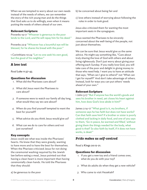When we are tempted to worry about our own needs instead of the needs of others, we can remember the story of the rich young man and do the things that God asks us to do willingly, even when it means putting the needs of others ahead of our own.

#### Relevant Scripture

Proverbs 19:17 "Whoever is generous to the poor lends to the Lord, and He will repay him for his deed."

Proverbs 22:9 "Whoever has a bountiful eye will be blessed, for he shares his bread with the poor."

1 Corinthians 10:24 "Let no one seek his own good, but the good of his neighbor."

## *A love test*

*Read* Luke 11:37-43*.*

#### Questions for discussion

- *1.* What did the Pharisees care about?
- *2.* What did Jesus want the Pharisees to care about?
- *3.* If someone were to watch our family all day long, what would they say we care about?
- *4.* When do you find yourself tempted to want the best for yourself?
- *5.* What advice do you think Jesus would give us?
- *6.* What can we do to care for others and not just ourselves?

#### Key concepts

Jesus could see what was inside the Pharisees' hearts. He knew that they were greedy, wanting to have more and to have the best for themselves. When the Pharisee criticized Jesus for not doing the ceremonial washing required by the Jewish law before eating a meal, Jesus pointed out that having a clean heart is more important than having ceremonially clean hands. He told the Pharisees that they should:

#### a) be generous to the poor

- b) be concerned about being fair and
- c) love others instead of worrying about following the rules in order to look good.

Jesus also criticized them for wanting the most important seats in the synagogues.

Jesus wanted the Pharisees to be sincerely concerned about the well-being of the people, not just about themselves.

We can be sure that Jesus would give us the same advice. He might say something like, "Care about truly sharing the love of God with others and about living righteously. Don't just worry about giving your offering each Sunday. If you really love God, you will take care of the poor and delight in giving money to those who need help. I want you to have an attitude that says, 'What can I give to others?' not 'What can I get for myself?' And don't take advantage of others. Instead, look for ways you can put others' needs ahead of your own."

#### Relevant Scripture

1 John 3:17 "But if anyone has the world's goods and sees his brother in need, yet closes his heart against him, how does God's love abide in him?"

James 2:14-17 "What good is it, my brothers, if someone says he has faith but does not have works? Can that faith save him? If a brother or sister is poorly clothed and lacking in daily food, and one of you says to them, 'Go in peace, be warmed and filled,' without giving them the things needed for the body, what good is that? So also faith by itself, if it does not have works, is dead."

## *Pride makes us self-centred*

Read 2 Kings 20:12-21.

#### Questions for discussion

- *1.* If you get a new toy and a friend comes over, what do you do with your toy?
- *2.* What do adults do when they get a new vehicle?
- *3.* Who came to visit Hezekiah?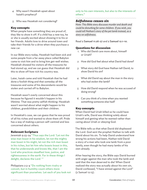- *4.* Why wasn't Hezekiah upset about Isaiah's prophecy?
- *5.* Who was Hezekiah not considering?

## Key concepts

When people have something they are proud of, they like to show it off. If a child has a new toy, he or she is usually excited about showing it to his or her friends. Adults love to drive around town and take their friends for a drive when they purchase a new car.

In our Bible story today, Hezekiah had been sick and some people from a far-away place called Babylon came to visit him and to bring him get-well wishes. Hezekiah showed his visitors all the treasures he had stored up, and we can guess that Hezekiah did this to show off how rich his country was.

Later, Isaiah came and told Hezekiah that he had done a foolish thing and that someday all the treasures and some of his descendants would be stolen and carried off to Babylon.

Hezekiah wasn't overly concerned about this because he figured it wouldn't happen in his lifetime. That was pretty selfish thinking: Hezekiah wasn't worried about what might happen to his children, grandchildren and their children.

In Hezekiah's case, we can guess that he was proud of all his riches and wanted to show them off. Pride has a way of making a person self-centred and less concerned about others.

## Relevant Scripture

Jeremiah 9:23-24 "Thus says the Lord: 'Let not the wise man boast in his wisdom, let not the mighty man boast in his might, let not the rich man boast in his riches, but let him who boasts boast in this, that he understands and knows Me, that I am the Lord who practices steadfast love, justice, and righteousness in the earth. For in these things I delight, declares the Lord.'"

Philippians 2:3-4 "Do nothing from rivalry or conceit, but in humility count others more significant than yourselves. Let each of you look not only to his own interests, but also to the interests of others."

## *Selfishness causes sin*

*Note: This Bible story discusses murder and death and could be disturbing for some children. If you wish, you could tell Nathan's story of the pet lamb instead, as a story on selfishness.*

Read 2 Samuel 11:26-27 and 2 Samuel 12:1-10.

## Questions for discussion

- *1.* Who did David care more about, himself or Uriah?
- *2.* How did God feel about what David had done?
- *3.* What story did God have Nathan tell David, to show David his sin?
- *4.* What did David say about the man in the story who had stolen the lamb?
- *5.* How did David respond when he was accused of doing wrong?
- *6.* Can you think of a time when you wanted something someone else had?

## Key concepts

When David had Uriah killed so he could have Uriah's wife, David was thinking solely about himself and getting what he wanted rather than caring about Uriah or obeying God.

The Bible tells us that what David did displeased the Lord. God sent the prophet Nathan to talk with David about his sin. To help David understand how wrong his actions had been, Nathan told David a story of a man who took one lamb from a poor family, even though he had many lambs of his own already.

After hearing the story, the Bible says David burned with anger against the man who took the lamb and said that the man deserved to die! When David realized the story was actually about his own sin, David confessed, "I have sinned against the Lord" (2 Samuel 12:13).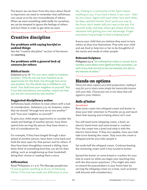The lesson we can learn from this story about David is important; we need to remember that selfishness can cause us to be very inconsiderate of others. When we want something really badly for ourselves, we can be tempted to ignore the feelings of others and hurt them in order to get what we want.

# Creative discipline

## *For problems with saying hurtful or unkind things*

See the "creative discipline" section of the lesson on **courtesy**.

#### *For problems with a general lack of concern for others*

#### Biblical basis

Galatians 5:13-16 "For you were called to freedom, brothers. Only do not use your freedom as an opportunity for the flesh, but through love serve one another. For the whole law is fulfilled in one word: 'You shall love your neighbor as yourself.' But if you bite and devour one another, watch out that you are not consumed by one another."

#### Suggested disciplinary action

Selfishness leads children to treat others with a lack of consideration. Galatians 5:13-16, however, states that we should "through love serve one another" and "love your neighbor as yourself."

To give your child ample opportunity to consider the needs and feelings of another person, have them spend time serving the person they have shown a lack of consideration for.

For example, if they have barged through a door ahead of another person, have them come back and hold the door open for that person and for others. If they have been thoughtless toward a sibling, have them think of something kind they can do for their sibling, such as straightening up their bookshelf, doing their chores or reading them a story.

## Affirmation

Read Philippians 2:1-4 in *The Message* paraphrase: "If you've gotten anything at all out of following Christ, if His love has made any difference in your life, if being in a community of the Spirit means anything to you, if you have a heart, if you care – then do me a favor: Agree with each other, love each other, be deep-spirited friends. Don't push your way to the front; don't sweet-talk your way to the top. Put yourself aside, and help others get ahead. Don't be obsessed with getting your own advantage. Forget yourselves long enough to lend a helping hand."

Assure your child that you believe they want to love others as they love themselves. Pray with your child and ask God to help him or her to be thoughtful of the wants and needs of other people.

#### Relevant Scripture

Philippians 2:3-4 "Do nothing from rivalry or conceit, but in humility count others more significant than yourselves. Let each of you look not only to his own interests, but also to the interests of others."

# Hands-on options

*These fun ideas require very little preparation, making it easy for you to share some simple but memorable lessons with your kids. Choose just one or two ideas that will appeal to your children.*

## *Balls of butter*

#### *fun with food*

Beat some cream into whipped cream and butter to draw your kids' attention to Proverbs 30:33 and teach them that teasing and irritating others isn't cool.

You will need some whipping cream, a bowl, an electric hand mixer and some bread or crackers. Pour the cream into a bowl and whip it with the electric hand mixer. If they are capable, have your kids take turns beating the cream. Stop once the cream is whipped and let your kids sample it.

Set aside half the whipped cream. Continue beating the remaining cream until it has turned to butter.

Spread the butter on some bread or crackers for your kids to snack on while you begin your teaching time with the discussion questions. (You might also want to reward the peacemakers in your home later by serving the whipping cream on a treat, such as buttermilk biscuits with strawberries.)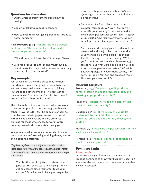## Questions for discussion

- Did the whipped cream turn into butter slowly or quickly?
- Could you tell it was about to happen?
- How can you tell if your joking around is starting to bother someone?

Read **Proverbs 30:33**: "For pressing milk produces curds, pressing the nose produces blood, and pressing anger produces strife."

- What do you think Proverbs 30:33 is saying to us?
- Let's read **Proverbs 6:16-19** and **Matthew 5:9**. Does it make God happy when someone is causing someone else to get annoyed?

## Key concepts

Just as we didn't know the exact minute when the whipped cream was going to turn into butter, we can't always tell when our teasing or joking is starting to bother someone. The best way to prevent making someone angry is to stop fooling around before others get irritated.

The Bible tells us that God hates it when someone causes other people to become angry with each other (Proverbs 6:16-19). The opposite of being a troublemaker is being a peacemaker. God would rather we be peacemakers and He promises a blessing for those who choose to work toward creating peace in situations (Matthew 5:9).

When we consider how our words and actions will impact others **before** saying or doing things, we can avoid causing difficulties.

 *To follow up, discuss some different scenarios, sharing ideas about how to keep the peace in each situation rather than cause discord. Here are some example scenarios to get you started:*

• Your brother has forgotten to take out the garbage. You could tease him saying, "You'll get no dessert, since you forgot to do your chores." But what would be a good way to be

a considerate peacemaker instead? (*Answer:* Quietly go to your brother and remind him to do his chores.)

- Someone spills flour all over the kitchen counter. You could say, "Wow! You can't even sift flour properly." But what would a considerate peacemaker say instead? (*Answer with something like this:* "Don't worry, we can wipe it up quick. I know you tried your best.")
- You are excitedly telling your friend about the great weekend you just had, but you notice your friend looks a little bored. You might feel like walking off in a huff saying, "Well, if you're not interested in what I have to say, just forget it!" But what would be a good way to be a considerate peacemaker instead? (*Possible answer:* Apologize to your friend saying, "I'm sorry for rudely going on and on about myself. How was your weekend?")

## Relevant Scripture

Proverbs 30:33 "For pressing milk produces curds, pressing the nose produces blood, and pressing anger produces strife."

Psalm 133:1 "Behold, how good and pleasant it is when brothers dwell in unity!"

Galatians 5:25-26 "If we live by the Spirit, let us also walk by the Spirit. Let us not become conceited, provoking one another, envying one another."

Matthew 5:9 "Blessed are the peacemakers, for they shall be called sons of God."

Romans 12:18 "If possible, so far as it depends on you, live peaceably with all."

## *Dominoes train*

#### *drama / role play*

In this exercise, you'll watch a chain reaction of toppling dominoes to show your kids how upsetting someone else can have a much worse outcome than we ever expected.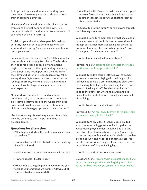To begin, set up some dominoes standing up on their ends, close enough to each other to start a train of toppling dominoes.

Have one of your children start the chain reaction by pushing the first dominoes tile down. (Be prepared to rebuild the dominoes train so each child can have a chance to start it.)

Explain to your kids that when people's feelings get hurt, they can act like dominoes: one little word or deed can trigger a whole chain reaction of unhappy events.

For example, an older sister might tell her younger brother that he is acting like a baby. The brother then calls his sister a bossy bully and a fight begins. By the end of the fight, feelings are hurt, their parents are not happy, and the kids' have their toys and other privileges taken away. When we say things *before* we take time to consider the feelings of others, we can start a chain reaction that can have far larger consequences than we ever expected.

Now work with your kids to build one final dominoes train, but after every 8 to 10 dominoes tiles, leave a safety space so the whole train does not come down if one section falls. Show your children how these gaps prevent "runaway trains."

Use the following discussion questions to explain how the dominoes train helps remind us to be considerate.

## Questions for discussion

- What happened when the first dominoes tile was pushed over?
- How much effort did it take to knock down a long line of dominoes?
- Could you stop the dominoes train once it started?
- How are people like dominoes?
- What kinds of things happen to you to make you feel like your emotions are tumbling down out of control, like the dominoes did?

• What kind of things can you do to create "safety gaps" when you're upset - the things that help you regain control of your emotions instead of letting them be like a runaway train?

Next, have fun talking through or role playing through the following scenarios:

**Scenario 1:** Jennifer's mom told her that she couldn't have ice cream until her little brother went down for his nap. Just as her mom was taking her brother to his room, Jennifer called out to her brother, "Have fun napping. I'll be eating ice cream!"

How did Jennifer start a dominoes train?

#### Proverbs 12:23 "A prudent man conceals knowledge, but the heart of fools proclaims folly."

**Scenario 2:** Todd's cousin Jeff was over at Todd's house and they were playing with building blocks. Jeff decided to have a pretend hurricane blow down the building Todd had just worked very hard to build. Instead of yelling at Jeff, Todd excused himself to go to the bathroom where he prayed and got himself under control before coming back to rebuild his building.

How did Todd stop the dominoes train?

Proverbs 29:11 "A fool gives full vent to his spirit, but a wise man quietly holds it back."

**Scenario 3:** At breakfast Stephanie is so excited about her up-coming preschool field trip that she keeps kicking Bryce under the table. She's talking non-stop about how much fun it's going to be to go to the petting zoo. Bryce thinks it's babyish to be that excited about it and he is tired of being kicked. He decides not to say anything at all and moves his chair out of the way of Steph's flailing legs.

How did Bryce stop the dominoes train?

Colossians 3:13 ". . . bearing with one another and, if one has a complaint against another, forgiving each other; as the Lord has forgiven you, so you also must forgive."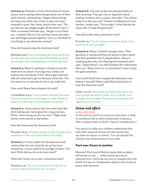**Scenario 4:** Amanda is at her friend Jessica's house. Jessica starts saying unkind things about one of their other friends, complaining, "Megan always brings her baby toys when she comes to play over here." Amanda is quiet. Her friend Jessica then says, "Do you like the way Megan laughs all the time? I don't." After a moment Amanda says, "Megan is my friend too. I wouldn't like it if you said that about me when you and Megan played together. Let's try and think of nice things to say about her instead."

How did Amanda stop the dominoes train?

Ephesians 4:29 "Let no corrupting talk come out of your mouths, but only such as is good for building up, as fits the occasion, that it may give grace to those who hear."

**Scenario 5:** Reece is waiting in a lineup to use the washroom at school. A younger boy comes and pushes into line ahead of him. Reece gets mad and tells the other kid to get to the back of the line. The boy starts to cry and says he has to go really bad.

How could Reece have stopped the train?

1 Corinthians 13:4-5 "Love is patient and kind; love does not envy or boast; it is not arrogant or rude. It does not insist on its own way; it is not irritable or resentful . . ."

**Scenario 6:** Janna notices that her mom looks like she's feeling sad. Janna gives her a hug and says, "Mom, I love having you for my mom." Right away Janna's mom seems to feel better.

How did Janna stop the dominoes train?

Proverbs 16:24 "Gracious words are like a honeycomb, sweetness to the soul and health to the body."

**Scenario 7:** Connor walks into the playroom and notices that the train track he set up has been messed up. Connor yells at his younger brother, "You brat! What did you do to my train track?"

What did Connor do to start a dominoes train?

Proverbs 3:30 "Do not contend with a man for no reason, when he has done you no harm."

**Scenario 8:** Jack and Jordan are playing hockey on their driveway. They get into an argument about whether Jordan's shot is a goal. Jack yells, "You always make it so that you win!" Instead of yelling back at his brother, Jordan says, "You're right, I often decide the close calls. I'll take the goal back."

How did Jordan stop a dominoes train?

#### Proverbs 15:1 "A soft answer turns away wrath, but a harsh word stirs up anger."

**Scenario 9:** Missy is David's younger sister. Their grandma is visiting and they are about to play a game that their grandma hasn't played before. Missy is explaining the rules, but David grows impatient and says, "Quiet Missy! I can tell Grandma the rules better than you." Missy starts to cry and doesn't want to play the game anymore.

How could David have stopped the dominoes train before it started? What could Missy have done to stop the dominoes train?

James 1:19-20 "Know this, my beloved brothers: let every person be quick to hear, slow to speak, slow to anger; for the anger of man does not produce the righteousness of God."

## *Cause and effect*

#### *science with a twist*

In this activity you'll run some toy cars down a ramp to introduce kids to some simple laws of physics, then compare them to God's "laws of consideration."

Your goal is to help your children understand that both their physical actions and the words they say have an impact on others. You can spread this activity over three sessions if you wish.

## Part one: Peace in motion

Newton's First Law of Motion states that an object will remain at rest . . . unless acted upon by an external force. You'll use toy cars to compare this with God's first law of consideration which is Aim to live at peace with everyone.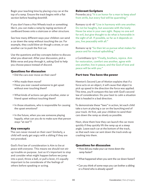Begin your teaching time by placing a toy car at the top of a ramp. Ensure the track begins with a flat section before heading downhill.

If you don't have a Hot Wheels track or something like it, you can make a ramp by taping sections of cardboard boxes onto a staircase or other structure.

See how many different ways your children can send a car down the ramp without touching the car. For example, they could blow air though a straw, or use another car to push the first car.

Use the questions and key concepts below to discuss what you observed. After your discussion, pick a Bible verse and pray through it, asking God to help you choose peace instead of discord.

## Questions for discussion

- Did the cars ever move on their own?
- Who made them move?
- Have you ever caused someone to get upset without ever touching them?
- What kinds of actions can get a brother, sister or friend upset without touching them?
- In those situations, who is responsible for causing the upset emotions?
- In the future, when you see someone playing happily, what can you do to make sure that person stays "at rest"?

## Key concepts

The cars never moved on their own! Similarly, a child will rarely get angry with a sibling if they are not provoked.

God's first law of consideration is *Aim to live at peace with everyone*. This means we should not stir up trouble on purpose. Just as it's important to stop and consider what might happen before we jump into a pool, throw a ball, or pull a lever, it's equally important to be considerate of the feelings of others before speaking or acting.

## Relevant Scripture

Proverbs 20:3 "It is an honor for a man to keep aloof from strife, but every fool will be quarreling."

Romans 12:16-18 "Live in harmony with one another. Do not be haughty, but associate with the lowly. Never be wise in your own sight. Repay no one evil for evil, but give thought to do what is honorable in the sight of all. If possible, so far as it depends on you, live peaceably with all."

Romans 14:19 "So then let us pursue what makes for peace and for mutual upbuilding."

2 Corinthians 13:11 "Finally, brothers, rejoice. Aim for restoration, comfort one another, agree with one another, live in peace; and the God of love and peace will be with you."

## Part two: You have the power

Newton's Second Law of Motion explains that if a force acts on an object, it will cause that object to pick up speed in the direction the force was applied. This time, you'll compare this law with God's second law of consideration: Do your best to calm a situation that is headed in a bad direction.

To demonstrate these "laws" in action, let each child take a turn at placing a car on the launching end of your track. At first, ask your children to send their cars down the ramp as slowly as possible.

Next, show them how they can launch the car more quickly if they quickly lift the ramp up at a steep angle. Leave each car at the bottom of the track, so that each new car sent down the track ends up crashing into them.

## Questions for discussion

- How did you make your car move down the ramp faster?
- What happened when you sent the car down faster?
- Can you think of some ways you can bother a sibling or a friend who is already upset?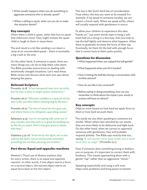- What usually happens when you do something to aggravate someone who is already upset?
- When a sibling is upset, what can you do to make the situation better?

#### Key concepts

Often when a child is upset, other kids love to upset that child even more! They might imitate the upset child or laugh at them or tease them.

The end result is a lot like sending a car down a ramp at an uncontrolled speed – there is inevitably a big crash at the end.

On the other hand, if someone is upset, there are many things you can do to help them calm down. The Bible provides instructions on dealing with emotionally charged situations. Let's read these Bible verses and discuss what each one says about keeping the peace.

## Relevant Scripture

Proverbs 15:18 "A hot-tempered man stirs up strife, but he who is slow to anger quiets contention."

Proverbs 26:17 "Whoever meddles in a quarrel not his own is like one who takes a passing dog by the ears."

Proverbs 26:20 "For lack of wood the fire goes out, and where there is no whisperer, quarreling ceases."

Ephesians 4:29 "Let no corrupting talk come out of your mouths, but only such as is good for building up, as fits the occasion, that it may give grace to those who hear."

Galatians 5:25-26 "If we live by the Spirit, let us also walk by the Spirit. Let us not become conceited, provoking one another, envying one another."

## Part three: Equal and opposite reactions

Newton's Third Law of Motion explains that for every action, there is an equal and opposite reaction. In other words, if one object exerts a force on a second object, the second object exerts an equal force back at the first object.

This law is like God's third law of consideration: Treat others the way you want to be treated! For example, if we speak to someone harshly, we can expect a harsh reply. When we speak softly, others will usually respond with gentleness in return.

To allow your children to experience this idea "hands on," use some sturdy tape to hang a soft foam ball on a string in a doorway. Ask your kids to tap the ball lightly and observe what happens. Allow them to gradually increase the force of their tap. Eventually, let them hit the ball with enough force that it comes back at them quite quickly.

## Questions for discussion

- What happened when you tapped the ball gently?
- What happened when you hit it harder?
- How is hitting the ball like having a conversation with another person?
- How do you like to be corrected?
- Before saying or doing something, how can you remember to think about the impact your words or actions will have on others?

## Key concepts

Objects move based on how hard we apply force to them or how hard we push them.

The words we use when speaking to someone are similar. When others feel attacked by our words, they are more likely to be defensive and fight back. On the other hand, when we correct or approach someone with gentleness, they will probably respond politely. The Bible says exactly that too, saying "A soft answer turns away wrath, but a harsh word stirs up anger" (Proverbs 15:1).

Even if someone does something wrong or bothers you on purpose, it's important to correct them with kindness. This means approaching them with a gentle "tap" rather than an aggressive "shove."

Speaking respectfully and using a soft tone helps solve problems and bring peace to heated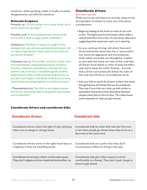situations, while speaking rudely or loudly escalates disagreements and difficult emotions.

#### Relevant Scripture

Proverbs 15:1 "A soft answer turns away wrath, but a harsh word stirs up anger."

Proverbs 15:18 "A hot-tempered man stirs up strife, but he who is slow to anger quiets contention."

Galatians 6:1 "Brothers, if anyone is caught in any transgression, you who are spiritual should restore him in a spirit of gentleness. Keep watch on yourself, lest you too be tempted."

Colossians 3:12-14 "Put on then, as God's chosen ones, holy and beloved, compassionate hearts, kindness, humility, meekness, and patience, bearing with one another and, if one has a complaint against another, forgiving each other; as the Lord has forgiven you, so you also must forgive. And above all these put on love, which binds everything together in perfect harmony."

1 Thessalonians 5:15 "See that no one repays anyone evil for evil, but always seek to do good to one another and to everyone."

## Considerate drivers and considerate kids:

## *Considerate drivers*

#### *drive time / any time*

While you're out and about on errands, observe the driving habits of others to teach your kids about consideration.

- Begin by looking at the head-on view of cars and trucks. The lights and front bumpers often make a vehicle look like it has a face. As you drive, take turns suggesting what expression each car is wearing.
- As you continue driving, talk about how each driver behind the wheel also has a "personality" too. Some are aggressive and inconsiderate, while others are polite and thoughtful. Explain to your kids that there are rules of the road that all drivers must follow in order to keep travellers safe and to keep the traffic flowing – but add that a driver can technically follow the rules of the road and still be an inconsiderate driver.
- Ask your kids to watch for drivers' actions that show thoughtfulness and those that are inconsiderate. Then see if your kids can come up with similar or equivalent interactions that take place between people when they're face to face. The table shows some examples to help you get started.

| <b>Considerate drivers</b>                                                                                     | <b>Considerate kids</b>                                                                                                                |
|----------------------------------------------------------------------------------------------------------------|----------------------------------------------------------------------------------------------------------------------------------------|
| Considerate drivers share the right of way, allowing<br>other cars to merge or change lanes.                   | Considerate kids let other kids take the first turn<br>or let other people go ahead when they arrive at a<br>doorway at the same time. |
| Considerate drivers move to the right-hand lane on<br>a highway if they are travelling slowly.                 | Considerate kids are careful that they don't<br>inconvenience others by being in the way.                                              |
| Considerate drivers give others comfortable space.<br>They don't tailgate or drive closely behind another car. | Considerate kids give others space to stand<br>comfortably in a lineup. They don't push, barge or<br>shove to get ahead.               |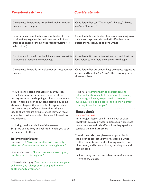## *Considerate drivers Considerate kids*

| Considerate drivers wave to say thanks when another                                                                                                                                           | Considerate kids say "Thank you," "Please," "Excuse                                                                                                              |
|-----------------------------------------------------------------------------------------------------------------------------------------------------------------------------------------------|------------------------------------------------------------------------------------------------------------------------------------------------------------------|
| driver has been helpful.                                                                                                                                                                      | me" and "I'm sorry."                                                                                                                                             |
| In traffic jams, considerate drivers will notice drivers<br>stuck waiting to get on the main road and will direct<br>them to go ahead of them on the road (providing it is<br>safe to do so). | Considerate kids will notice if someone is waiting to use<br>a toy they are playing with and will offer them a turn<br>before they are ready to be done with it. |
| Considerate drivers do not honk their horns, unless it is                                                                                                                                     | Considerate kids are patient with others and don't use                                                                                                           |
| to prevent an accident or emergency.                                                                                                                                                          | loud voices to let others know they are unhappy.                                                                                                                 |
| Considerate drivers do not make rude gestures at other<br>drivers.                                                                                                                            | Considerate kids are gentle. They do not use aggressive<br>actions and body language to get their own way or to<br>threaten others.                              |

If you'd like to extend this activity, ask your kids to think about other situations – such as at the grocery store, at the shopping mall, or at a swimming pool – where kids can show consideration by going above and beyond the basic rules for appropriate behaviour. As part of your discussion, ask your kids to share real life circumstances they can recall where the considerate kids rules were followed – or not followed.

In closing, read your choice of the relevant Scripture verses. Pray and ask God to help you to be considerate of others.

#### Relevant Scripture

Romans 12:10 "Love one another with brotherly affection. Outdo one another in showing honor."

1 Corinthians 10:24 "Let no one seek his own good, but the good of his neighbor."

1 Thessalonians 5:15 "See that no one repays anyone evil for evil, but always seek to do good to one another and to everyone."

Titus 3:1-2 "Remind them to be submissive to rulers and authorities, to be obedient, to be ready for every good work, to speak evil of no one, to avoid quarreling, to be gentle, and to show perfect courtesy toward all people."

## *Heart check*

#### *science with a twist*

In this object lesson you'll stain a cloth or paper towel with coloured water to dramatically illustrate how a person's attitude affects how they speak and can lead them to hurt others.

You will need six clear glasses or cups, a plastic tablecloth to protect your work surface, a white cloth or paper towel, food colouring in red, yellow, blue, green, and brown or black, a tablespoon and some bleach.

• Prepare by putting one tablespoon of water in five of the glasses.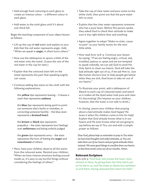- Add enough food colouring to each glass to create an intense colour – a different colour in each glass.
- Add water to the sixth glass until it's about one-third full.

Begin the teaching component of your object lesson as follows:

- Lift up the cup of **red** water and explain to your kids that the red water represents anger. Add, "When we speak in **anger**, it often hurts others."
- Now use the tablespoon to spoon a little of the red water onto the towel. (Leave the rest of the red water in the cup for later.)
- Explain that the coloured stain left on the towel represents the pain that speaking angrily can cause.
- Continue adding dye stains to the cloth with the following explanations:

the **yellow** dye represents teasing – it leaves a stain that represents **sadness**

the **blue** dye represents being quick to point out someone else's faults or mistakes, or correcting someone harshly – the blue stain represents a **bruised heart**

the **brown** or **black** dye represents prejudice – the stain represents hurt feelings over **unfairness** and being unfairly judged

the **green** dye represents envy – the stain represents the hurt of feeling the **anger** and **resentment** of others.

• Next, have your children observe all the stains from the coloured water. Remind your children, "When we have intense emotions boiling around inside us, it's easy to say hurtful things without considering the feelings of others."

- Take the cup of clear water and pour some on the white cloth, then point out that the pure water left no stain.
- Explain that the clear water represents someone who has a pure heart. Before this person spoke, they asked God to check their attitude to make sure it was right before they said anything.
- Agree together to adopt "Make no stain, cause no pain" as your family motto for the next little while.
- Now read Acts 15:8-9. Continue your lesson by saying, "If we are feeling angry, critical, sad, troubled, jealous or upset and we are tempted to speak unkindly, we can ask God to send His Holy Spirit to clean our hearts. God will take the bad attitude right out of us, if we ask Him to. Just like human doctors love to help people get better when they are sick, God loves to take sin out of our hearts."
- To illustrate your point, add a tablespoon of bleach to each cup of coloured water and watch as it makes all the dyed water look pure and clear. It's fascinating! (Do impress on your children, however, that the water is not safe to drink.)
- In closing, assure your children that praying about a bad attitude makes God happy! He loves it when His children come to him for help! Explain that God already knows what is in our hearts and He even knows what we are going to say before we say it! You can end with a simple prayer as follows:

*Dear God, please help us remember to pray to You when we have bad thoughts and sinful attitudes, so You can take them out of our hearts and put good attitudes there instead. We want good things to overflow from our hearts so that kind words come out of our mouths. Amen.*

## Relevant Scripture

Acts 15:8-9 "And God, who knows the heart, bore witness to them, by giving them the Holy Spirit just as He did to us, and He made no distinction between us and them, having cleansed their hearts by faith."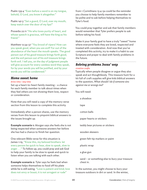Psalm 139:4 "Even before a word is on my tongue, behold, O Lord, you know it altogether."

Psalm 141:3 "Set a guard, O Lord, over my mouth; keep watch over the door of my lips!"

Proverbs 22:11 "He who loves purity of heart, and whose speech is gracious, will have the king as his friend."

Matthew 12:34-37 "You brood of vipers! How can you speak good, when you are evil? For out of the abundance of the heart the mouth speaks. The good person out of his good treasure brings forth good, and the evil person out of his evil treasure brings forth evil. I tell you, on the day of judgment people will give account for every careless word they speak, for by your words you will be justified, and by your words you will be condemned."

## *Home sweet home*

#### *drive time / any time*

Set up a heart-to-heart family meeting – a chance for each family member to talk about times when they feel others are not showing them love, respect or consideration.

Note that you will need a copy of the memory verse section from this lesson to complete this activity.

Immediately after a person shares, use the memory verses from this lesson to pinpoint biblical answers to the issues brought up.

**Example scenario 1:** Morgan says she feels she is not being respected when someone answers her before she has had a chance to finish her question.

One relevant Bible verse for this situation is James 1:19, "Know this, my beloved brothers: let every person be quick to hear, slow to speak, slow to anger . . ." To follow up, you could pray and ask God to help your family to be slow to speak and quick to listen when you are talking with each other.

**Example scenario 2:** Tyler says he feels bad when someone helps themselves to food off his plate while he is still eating. "Love is patient and kind; love does not envy or boast; it is not arrogant or rude"

from 1 Corinthians 13:4-5a could be the reminder you choose to help family members remember to be polite and to ask before helping themselves to Tyler's food.

You could pray together and ask that family members would remember that Tyler prefers people to ask before taking his food.

Make it your family goal to have a truly "sweet" home where everyone feels they are loved, respected and treated with consideration. And now that you've completed this activity, try to make it a habit to use Scripture and prayer to deal with family problems in the future.

## *Solving problems Jesus' way*

#### *creative crafts*

Typically when people disagree or argue they also speak and act thoughtlessly. This treasure hunt for a kit full of craft supplies will give kids biblical answers to the question, *What should I do if someone sins against me or wrongs me?*

You will need:

a shoebox

tape

cotton balls

paper hearts or stickers

teddy bear pictures or stickers

wooden skewers

green felt-tip markers or paint

plastic wrap

a glue gun

sand – or something else to bury your treasure chest in.

In the summer, you might choose to bury your treasure outdoors in dirt or sand. In the winter,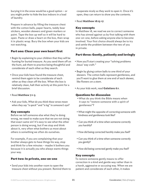burying it in the snow would be a good option – or you might prefer to hide the box indoors in a load of laundry.

Prepare in advance by filling the treasure chest with the cotton balls, paper hearts, teddy bear stickers, wooden skewers and green markers or paint. Tape the box up well so it will be hard to open. Paste or draw a heart on the box, then wrap it in plastic wrap. Bury the box when your kids are not watching.

## Part one: Clean your own heart first

- Begin by explaining to your children that they will be hunting for buried treasure. As you send them off on the hunt, ask them to practice being thoughtful and considerate of each other as they search.
- Once your kids have found the treasure chest, remind them again to be considerate of each other as they clean off the box. When the box is relatively clean, halt their activity at this point for a brief discussion.
- Read **Matthew 7:1-5**.
- Ask your kids, *What do you think these verses mean when they say "a speck" and "a log" in someone's eye?*

## Key concepts

Before we tell someone else what they're doing wrong, we need to make sure that we are not doing that exact same sin! It's easy to see what the other person is doing wrong, but if we stop and think about it, very often what bothers us most about others is something we often do ourselves.

For example, if you are complaining that your brother always gets to have things his way, stop and think for a few minutes – maybe it bothers you because it is actually *you* who always wants things your way.

## Part two: In private, one-on-one

• Send your kids into another room to open the treasure chest without you present. Remind them to cooperate nicely as they work to open it. Once it's open, they can return to show you the contents.

• Read **Matthew 18:15-17**.

#### Key concepts

In Matthew 18, we read we are to correct someone who has sinned against us by first talking with them one-on-one, before asking anyone else to become involved. Your first choice should always be to try and settle the problem between the two of you in private.

## Part three: Gently, patiently and lovingly

- Now you'll start creating your "solving problems Jesus' way craft."
- Begin by gluing cotton balls to one third of your skewers. The cotton balls represent gentleness, and you'll want to glue them at one end of each skewer, like flowers on a stem.
- As your kids work, read **Galatians 6:1**.

#### Questions for discussion

- What do you think the Bible means when it says to "restore someone with a spirit of gentleness"?
- What might the opposite of correcting someone with kindness and gentleness look like?
- Can you think of a time when someone correctly you harshly?
- How did being corrected harshly make you feel?
- Can you think of a time when someone correctly you gently?
- How did being corrected gently make you feel?

#### Key concepts

To restore someone gently means to offer correction in a kind and gentle way rather than in a harsh, aggressive or accusing way. When we are patient and considerate of each other, it makes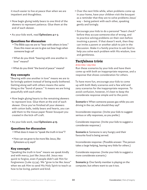it much easier to live at peace than when we are impatient and thoughtless.

- Now begin gluing teddy bears to one third of the skewers to represent patience. Glue them at the end of each skewer.
- As your kids work, read **Ephesians 4:1-3**.

## Questions for discussion

- The Bible says we are to "bear with others in love." Does this mean we are to give out bear hugs when someone bugs us?
- What do you think "bearing with one another in love" means?
- What do you think "the bond of peace" means?

## Key concepts

"Bearing with one another in love" means we are to be lovingly patient instead of being easily bothered. Getting along well with others means the same thing as the "bond of peace." It means we are living peacefully with each other.

- Now begin gluing hearts to the remaining skewers to represent love. Glue them at the end of each skewer. Once you've finished all your skewers with cotton balls, teddy bears and hearts, you can add them to the tissue paper flower bouquet you created in the kick-off craft.
- As your kids work, read **Ephesians 4:15**.

## Questions for discussion

- What does it mean to "speak the truth in love"?
- How can we grow to be more like Jesus, like Ephesians 4:15 says?

## Key concepts

"Speaking the truth in love" means we speak kindly and with mercy, just like Jesus did. Jesus was quick to forgive, even if people didn't ask Him for forgiveness (Luke 23:34). We "grow to be like Jesus" when we ask Him to send His Holy Spirit to teach us how to be loving, patient and kind.

- Over the next little while, when problems come up in your home, have your children visit the bouquet as a reminder that they are to solve problems Jesus' way – being patient with each other, speaking gently and lovingly.
- Encourage your kids to do a personal "heart check" before they accuse someone else of wrong, and to practice solving problems on their own before involving a parent. If that doesn't work, then they can invite a parent or another adult to join in the discussion. Make it a family practice to ask God to help you solve each problem with His wisdom, love and gentleness.

## *Tactfulness trivia*

#### *drive time / any time*

Run these scenarios by your kids and have them come up with both an inappropriate response, and a response that shows consideration for others.

To have more fun, encourage your kids to come up with both likely scenarios and a few wild and zany scenarios for the inappropriate response. To avoid confusion, however, it's best to keep the considerate response simple and to the point.

**Scenario 1:** When someone passes gas while you are driving in the car, what should they say?

Inconsiderate response: (Invite your kids to suggest serious or silly responses, as you prefer.)

Considerate response: (Invite your kids to suggest a considerate response.)

**Scenario 2:** Someone is very hungry and their favourite food is being served.

Inconsiderate response: (Possible answer: The person takes a large helping, leaving very little for others.)

Considerate response: (Invite your kids to suggest a more considerate scenario.)

**Scenario 3:** One family member is playing on the computer, but others want to use it too.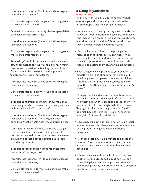Inconsiderate response: (Invite your kids to suggest inconsiderate scenarios.)

Considerate response: (Invite your kids to suggest a more considerate scenario.)

**Scenario 4:** Your mom has a big piece of spinach left between her teeth after a meal.

Inconsiderate response: (Invite your kids to suggest inconsiderate scenarios.)

Considerate response: (Invite your kids to suggest a more considerate response.)

**Scenario 5:** Your little brother is excited because you saw an ambulance on your way home from swimming lessons. At suppertime he is telling the rest of the family about it. He is so excited he keeps saying "ambliance" instead of ambulance.

Inconsiderate response: (Invite your kids to suggest inconsiderate scenarios.)

Considerate response: (Invite your kids to suggest a more considerate scenario.)

**Scenario 6:** Your friend's mom told your mom that their family pet died. The next day you see your friend at Sunday School. What do you do?

Inconsiderate response: (Invite your kids to suggest inconsiderate scenarios. These might include announcing to the whole class why your friend is sad.)

Considerate response: (Invite your kids to suggest a more considerate scenario. Ideally they will recognize the need to keep such a sensitive matter private and perhaps not talk about it until their friend brings it up.)

**Scenario 7:** Your friend is wearing his or her shirt inside out. What do you do?

Inconsiderate response: (Invite your kids to suggest inconsiderate scenarios.)

Considerate response: (Invite your kids to suggest a more considerate scenario.).

# *Walking in your shoes*

## *drama / role play*

For this activity, you'll take turns guessing what emotions your kids are acting out, assisted by unusual props – just the right pair of shoes!

- Prepare ahead of time by making a set of cards that show a different emotion on each card. To quickly find images from the Internet, use the search term "emotion faces for children." Draw or print the faces and paste them on your notecards.
- Next, invite your children to help you gather as many pairs of footwear as you can find. (If you are doing this activity indoors, screen the pairs of shoes for appropriateness for indoor use as the kids will be putting them on and walking in them.)
- Begin the game by explaining to your children that empathy is thinking about another person and imagining what that person is feeling or thinking. Add that another phrase we often use to mean empathy is "putting ourselves in another person's shoes."
- Now give each child one of your emotion cards and invite them to choose a pair of shoes that will help them act out their emotion appropriately. For example, pink flip flops might help them convey "happy," big black boots might help for "mad," and high heels for "excited," running shoes for "energetic," slippers for "tired" etc.
- Have each child act out their emotion using facial expressions and body language as other members of the group try to guess which emotion is being expressed.
- After each "drama," take a minute to discuss the emotion. Ask if someone wants to share a time when they felt the same emotion that was just acted out.
- When you've worked through all the cards, take another few minutes to talk about how you can come alongside and encourage others who are experiencing "heavy" emotions. Use the discussion questions to guide your conversation.